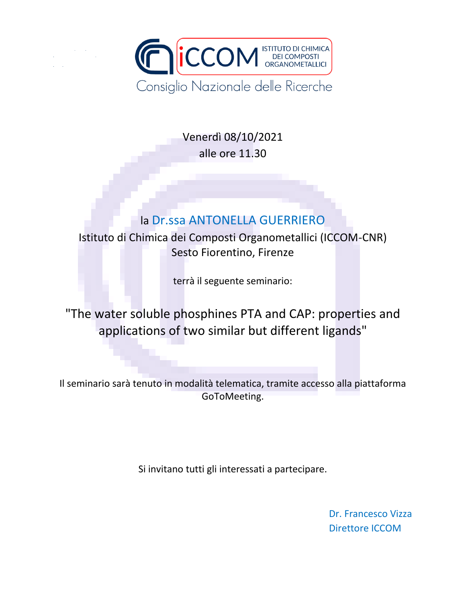

Venerdì 08/10/2021 alle ore 11.30

## la Dr.ssa ANTONELLA GUERRIERO

Istituto di Chimica dei Composti Organometallici (ICCOM-CNR) Sesto Fiorentino, Firenze

terrà il seguente seminario:

"The water soluble phosphines PTA and CAP: properties and applications of two similar but different ligands"

Il seminario sarà tenuto in modalità telematica, tramite accesso alla piattaforma GoToMeeting.

Si invitano tutti gli interessati a partecipare.

Dr. Francesco Vizza Direttore ICCOM